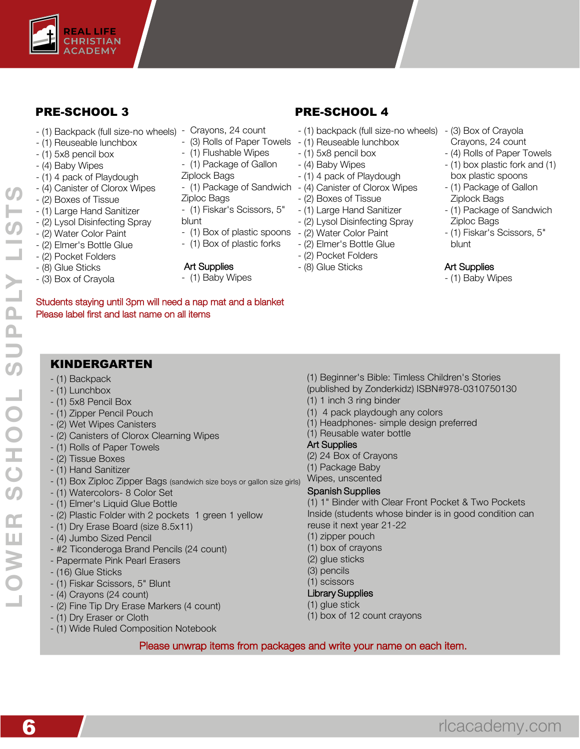

## PRE-SCHOOL 3

- (1) Backpack (full size-no wheels) Crayons, 24 count
- (1) Reuseable lunchbox
- (1) 5x8 pencil box
- (4) Baby Wipes
- (1) 4 pack of Playdough
- (4) Canister of Clorox Wipes
- (2) Boxes of Tissue
- (1) Large Hand Sanitizer
- (2) Lysol Disinfecting Spray
- (2) Water Color Paint
- (2) Elmer's Bottle Glue
- (2) Pocket Folders
- (8) Glue Sticks
- (3) Box of Crayola
- 
- (3) Rolls of Paper Towels (1) Reuseable lunchbox
- (1) Flushable Wipes
- (1) Package of Gallon
- Ziplock Bags
- 
- Ziploc Bags
- (1) Fiskar's Scissors, 5"
- blunt
- (1) Box of plastic spoons
- (1) Box of plastic forks
- Art Supplies
	- (1) Baby Wipes

# PRE-SCHOOL 4

- (1) backpack (full size-no wheels) (3) Box of Crayola
- 
- (1) 5x8 pencil box
- (4) Baby Wipes
- (1) 4 pack of Playdough
- (1) Package of Sandwich (4) Canister of Clorox Wipes
	- (2) Boxes of Tissue
	- (1) Large Hand Sanitizer
	- (2) Lysol Disinfecting Spray
	- (2) Water Color Paint
	- (2) Elmer's Bottle Glue
	- (2) Pocket Folders
	- (8) Glue Sticks
- Crayons, 24 count - (4) Rolls of Paper Towels
- (1) box plastic fork and (1)
- box plastic spoons
- (1) Package of Gallon Ziplock Bags
- (1) Package of Sandwich Ziploc Bags
- (1) Fiskar's Scissors, 5" blunt

#### Art Supplies

- (1) Baby Wipes

## KINDERGARTEN

Please label first and last name on all items

- (1) Backpack
- (1) Lunchbox
- (1) 5x8 Pencil Box
- (1) Zipper Pencil Pouch
- (2) Wet Wipes Canisters
- (2) Canisters of Clorox Clearning Wipes
- (1) Rolls of Paper Towels
- (2) Tissue Boxes
- (1) Hand Sanitizer
- (1) Box Ziploc Zipper Bags (sandwich size boys or gallon size girls)
- (1) Watercolors- 8 Color Set
- (1) Elmer's Liquid Glue Bottle
- (2) Plastic Folder with 2 pockets 1 green 1 yellow
- (1) Dry Erase Board (size 8.5x11)
- (4) Jumbo Sized Pencil
- #2 Ticonderoga Brand Pencils (24 count)
- Papermate Pink Pearl Erasers
- (16) Glue Sticks
- (1) Fiskar Scissors, 5" Blunt
- (4) Crayons (24 count)
- (2) Fine Tip Dry Erase Markers (4 count)
- (1) Dry Eraser or Cloth
- (1) Wide Ruled Composition Notebook
- (1) Beginner's Bible: Timless Children's Stories
- (published by Zonderkidz) ISBN#978-0310750130
- (1) 1 inch 3 ring binder
- (1) 4 pack playdough any colors
- (1) Headphones- simple design preferred
- (1) Reusable water bottle

### Art Supplies

- (2) 24 Box of Crayons
- (1) Package Baby
- Wipes, unscented

#### Spanish Supplies

(1) 1" Binder with Clear Front Pocket & Two Pockets Inside (students whose binder is in good condition can reuse it next year 21-22

- (1) zipper pouch
- (1) box of crayons
- (2) glue sticks
- (3) pencils
- (1) scissors

## Library Supplies

- (1) glue stick
- (1) box of 12 count crayons

#### Please unwrap items from packages and write your name on each item.

- **LOWER SCHOOL SUPPLY LISTS** LIST  $\overline{Y}$ SCHOOL SUPP OWER
- Students staying until 3pm will need a nap mat and a blanket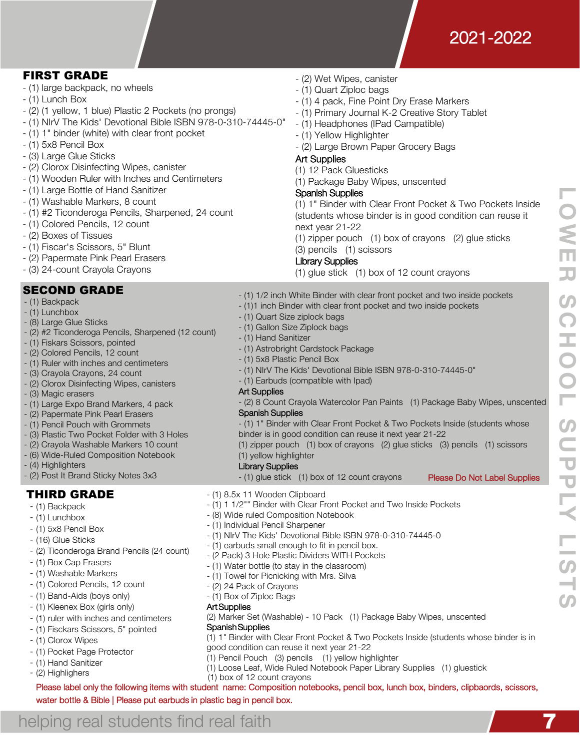

**LOWER SCHOOL SUPPLY LISTS**

**SUPP** 

HOOL<sub>S</sub>

**LOWE** 

**JJ** 

 $\boldsymbol{\omega}$ 

 $\overline{O}$ 

## FIRST GRADE

- (1) large backpack, no wheels
- (1) Lunch Box
- (2) (1 yellow, 1 blue) Plastic 2 Pockets (no prongs)
- (1) NIrV The Kids' Devotional Bible ISBN 978-0-310-74445-0"
- (1) 1" binder (white) with clear front pocket
- (1) 5x8 Pencil Box
- (3) Large Glue Sticks
- (2) Clorox Disinfecting Wipes, canister
- (1) Wooden Ruler with Inches and Centimeters
- (1) Large Bottle of Hand Sanitizer
- (1) Washable Markers, 8 count
- (1) #2 Ticonderoga Pencils, Sharpened, 24 count
- (1) Colored Pencils, 12 count
- (2) Boxes of Tissues
- (1) Fiscar's Scissors, 5" Blunt
- (2) Papermate Pink Pearl Erasers
- (3) 24-count Crayola Crayons

## SECOND GRADE

- (1) Backpack
- (1) Lunchbox
- (8) Large Glue Sticks
- (2) #2 Ticonderoga Pencils, Sharpened (12 count)
- (1) Fiskars Scissors, pointed
- (2) Colored Pencils, 12 count
- (1) Ruler with inches and centimeters
- (3) Crayola Crayons, 24 count
- (2) Clorox Disinfecting Wipes, canisters
- (3) Magic erasers
- (1) Large Expo Brand Markers, 4 pack
- (2) Papermate Pink Pearl Erasers
- (1) Pencil Pouch with Grommets
- (3) Plastic Two Pocket Folder with 3 Holes
- (2) Crayola Washable Markers 10 count
- (6) Wide-Ruled Composition Notebook
- (4) Highlighters
- (2) Post It Brand Sticky Notes 3x3

## THIRD GRADE

- (1) Backpack
- (1) Lunchbox
- (1) 5x8 Pencil Box
- (16) Glue Sticks
- (2) Ticonderoga Brand Pencils (24 count)
- (1) Box Cap Erasers
- (1) Washable Markers
- (1) Colored Pencils, 12 count
- (1) Band-Aids (boys only)
- (1) Kleenex Box (girls only)
- (1) ruler with inches and centimeters

water bottle & Bible | Please put earbuds in plastic bag in pencil box.

helping real students find real faith

- (1) Fisckars Scissors, 5" pointed
- (1) Clorox Wipes
- (1) Pocket Page Protector
- (1) Hand Sanitizer
- (2) Highlighers (1) box of 12 count crayons
- (2) Wet Wipes, canister
- (1) Quart Ziploc bags
- (1) 4 pack, Fine Point Dry Erase Markers
- (1) Primary Journal K-2 Creative Story Tablet
- (1) Headphones (IPad Campatible)
- (1) Yellow Highlighter
- (2) Large Brown Paper Grocery Bags
- Art Supplies

## (1) 12 Pack Gluesticks

(1) Package Baby Wipes, unscented

## Spanish Supplies

(1) 1" Binder with Clear Front Pocket & Two Pockets Inside (students whose binder is in good condition can reuse it next year 21-22

(1) zipper pouch (1) box of crayons (2) glue sticks (3) pencils (1) scissors

#### Library Supplies

(1) glue stick (1) box of 12 count crayons

- (1) 1/2 inch White Binder with clear front pocket and two inside pockets
- (1)1 inch Binder with clear front pocket and two inside pockets
- (1) Quart Size ziplock bags
- (1) Gallon Size Ziplock bags
- (1) Hand Sanitizer
- (1) Astrobright Cardstock Package
- (1) 5x8 Plastic Pencil Box
- (1) NIrV The Kids' Devotional Bible ISBN 978-0-310-74445-0"
- (1) Earbuds (compatible with Ipad)

#### Art Supplies

#### - (2) 8 Count Crayola Watercolor Pan Paints (1) Package Baby Wipes, unscented Spanish Supplies

- (1) 1" Binder with Clear Front Pocket & Two Pockets Inside (students whose binder is in good condition can reuse it next year 21-22
- (1) zipper pouch (1) box of crayons (2) glue sticks (3) pencils (1) scissors (1) yellow highlighter
- Library Supplies
- (1) glue stick (1) box of 12 count crayons Please Do Not Label Supplies
- (1) 8.5x 11 Wooden Clipboard
- (1) 1 1/2"" Binder with Clear Front Pocket and Two Inside Pockets
- (8) Wide ruled Composition Notebook
- (1) Individual Pencil Sharpener
- (1) NIrV The Kids' Devotional Bible ISBN 978-0-310-74445-0
- (1) earbuds small enough to fit in pencil box.
- (2 Pack) 3 Hole Plastic Dividers WITH Pockets
- (1) Water bottle (to stay in the classroom)
- (1) Towel for Picnicking with Mrs. Silva

Please label only the following items with student name: Composition notebooks, pencil box, lunch box, binders, clipbaords, scissors,

- (2) 24 Pack of Crayons
- (1) Box of Ziploc Bags

#### Art Supplies

(2) Marker Set (Washable) - 10 Pack (1) Package Baby Wipes, unscented Spanish Supplies

(1) Loose Leaf, Wide Ruled Notebook Paper Library Supplies (1) gluestick

(1) 1" Binder with Clear Front Pocket & Two Pockets Inside (students whose binder is in good condition can reuse it next year 21-22 (1) Pencil Pouch (3) pencils (1) yellow highlighter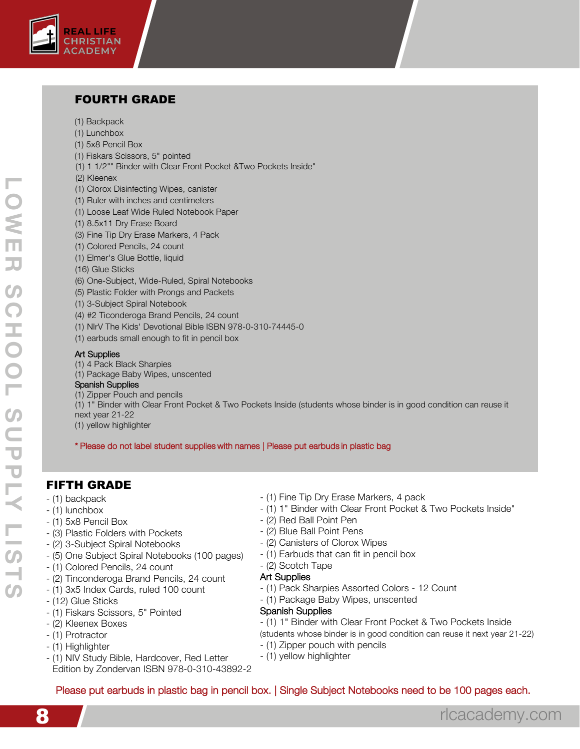

## FOURTH GRADE

- (1) Backpack
- (1) Lunchbox
- (1) 5x8 Pencil Box
- (1) Fiskars Scissors, 5" pointed
- (1) 1 1/2"" Binder with Clear Front Pocket &Two Pockets Inside"
- (2) Kleenex
- (1) Clorox Disinfecting Wipes, canister
- (1) Ruler with inches and centimeters
- (1) Loose Leaf Wide Ruled Notebook Paper
- (1) 8.5x11 Dry Erase Board
- (3) Fine Tip Dry Erase Markers, 4 Pack
- (1) Colored Pencils, 24 count
- (1) Elmer's Glue Bottle, liquid
- (16) Glue Sticks
- (6) One-Subject, Wide-Ruled, Spiral Notebooks
- (5) Plastic Folder with Prongs and Packets
- (1) 3-Subject Spiral Notebook
- (4) #2 Ticonderoga Brand Pencils, 24 count
- (1) NIrV The Kids' Devotional Bible ISBN 978-0-310-74445-0
- (1) earbuds small enough to fit in pencil box

#### Art Supplies

- (1) 4 Pack Black Sharpies
- (1) Package Baby Wipes, unscented

#### Spanish Supplies

(1) Zipper Pouch and pencils

(1) 1" Binder with Clear Front Pocket & Two Pockets Inside (students whose binder is in good condition can reuse it next year 21-22

(1) yellow highlighter

\* Please do not label student supplies with names | Please put earbuds in plastic bag

## FIFTH GRADE

- (1) backpack
- (1) lunchbox
- (1) 5x8 Pencil Box
- (3) Plastic Folders with Pockets
- (2) 3-Subject Spiral Notebooks
- (5) One Subject Spiral Notebooks (100 pages)
- (1) Colored Pencils, 24 count
- (2) Tinconderoga Brand Pencils, 24 count
- (1) 3x5 Index Cards, ruled 100 count
- (12) Glue Sticks
- (1) Fiskars Scissors, 5" Pointed
- (2) Kleenex Boxes
- (1) Protractor
- (1) Highlighter
- (1) NIV Study Bible, Hardcover, Red Letter Edition by Zondervan ISBN 978-0-310-43892-2
- (1) Fine Tip Dry Erase Markers, 4 pack
- (1) 1" Binder with Clear Front Pocket & Two Pockets Inside"
- (2) Red Ball Point Pen
- (2) Blue Ball Point Pens
- (2) Canisters of Clorox Wipes
- (1) Earbuds that can fit in pencil box
- (2) Scotch Tape

#### Art Supplies

- (1) Pack Sharpies Assorted Colors 12 Count
- (1) Package Baby Wipes, unscented

#### Spanish Supplies

- (1) 1" Binder with Clear Front Pocket & Two Pockets Inside
- (students whose binder is in good condition can reuse it next year 21-22)
- (1) Zipper pouch with pencils
- (1) yellow highlighter

## Please put earbuds in plastic bag in pencil box. | Single Subject Notebooks need to be 100 pages each.